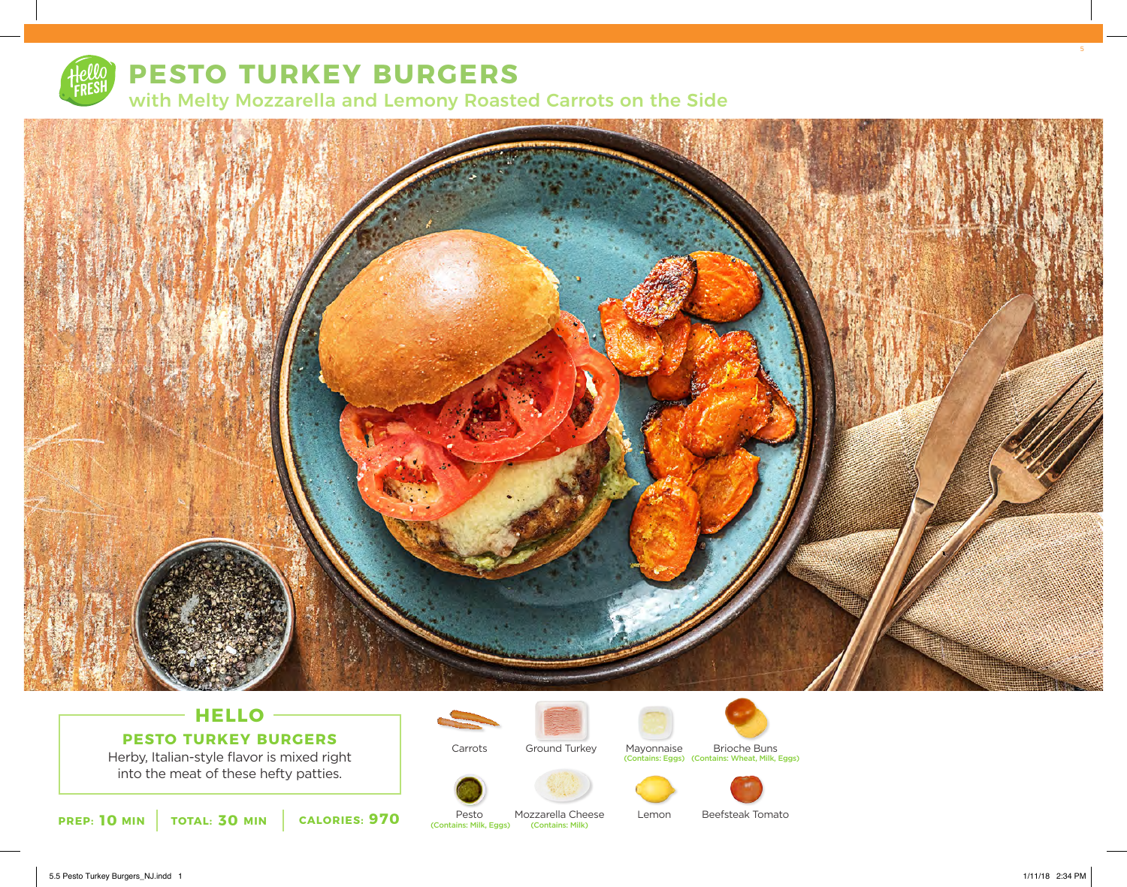

# **PESTO TURKEY BURGERS**

with Melty Mozzarella and Lemony Roasted Carrots on the Side



### **HELLO PESTO TURKEY BURGERS**

Herby, Italian-style flavor is mixed right into the meat of these hefty patties.















**PREP: 10** MIN | TOTAL: 30 MIN | CALORIES: 970 (Contains: Milk, Eggs) Pesto<br>(Contains: Milk, Eggs) Mozzarella Cheese (Contains: Milk)

Carrots

Lemon

Beefsteak Tomato